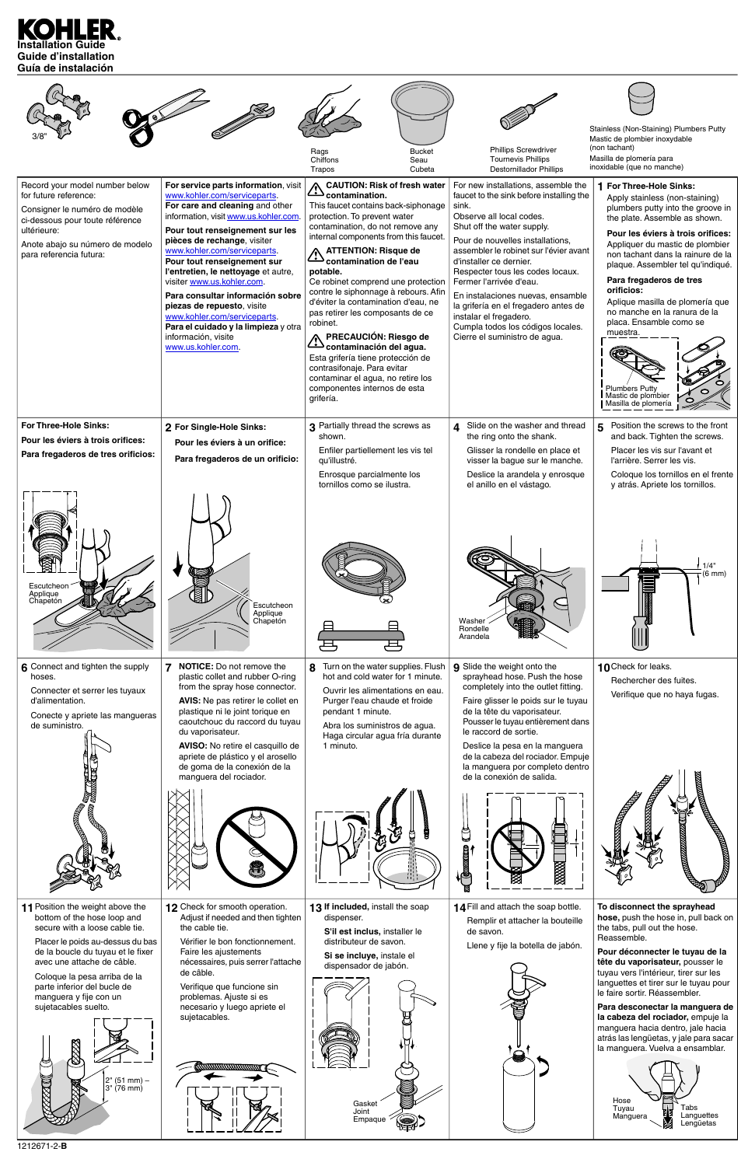

|                                                                                                                                                                                                                                                                               |                                                                                                                                                                                                                                                                                                                                                                                                                                                                                                                                               | Rags<br>Chiffons<br>Trapos                                                                                                                                                                                                                                                                                                                                                                                                                                                                                                                                                                                             | <b>Bucket</b><br>Seau<br>Cubeta                                                                                                              | <b>Phillips Screwdriver</b><br><b>Tournevis Phillips</b><br><b>Destornillador Phillips</b>                                                                                                                                                                                                                                                                                                                                                                                                              | Stainless (Non-Staining) Plumbers Putty<br>Mastic de plombier inoxydable<br>(non tachant)<br>Masilla de plomería para<br>inoxidable (que no manche)                                                                                                                                                                                                                                                                                                                                                        |
|-------------------------------------------------------------------------------------------------------------------------------------------------------------------------------------------------------------------------------------------------------------------------------|-----------------------------------------------------------------------------------------------------------------------------------------------------------------------------------------------------------------------------------------------------------------------------------------------------------------------------------------------------------------------------------------------------------------------------------------------------------------------------------------------------------------------------------------------|------------------------------------------------------------------------------------------------------------------------------------------------------------------------------------------------------------------------------------------------------------------------------------------------------------------------------------------------------------------------------------------------------------------------------------------------------------------------------------------------------------------------------------------------------------------------------------------------------------------------|----------------------------------------------------------------------------------------------------------------------------------------------|---------------------------------------------------------------------------------------------------------------------------------------------------------------------------------------------------------------------------------------------------------------------------------------------------------------------------------------------------------------------------------------------------------------------------------------------------------------------------------------------------------|------------------------------------------------------------------------------------------------------------------------------------------------------------------------------------------------------------------------------------------------------------------------------------------------------------------------------------------------------------------------------------------------------------------------------------------------------------------------------------------------------------|
| Record your model number below<br>for future reference:<br>Consigner le numéro de modèle<br>ci-dessous pour toute référence<br>ultérieure:<br>Anote abajo su número de modelo<br>para referencia futura:                                                                      | For service parts information, visit<br>www.kohler.com/serviceparts.<br>For care and cleaning and other<br>information, visit www.us.kohler.com.<br>Pour tout renseignement sur les<br>pièces de rechange, visiter<br>www.kohler.com/serviceparts.<br>Pour tout renseignement sur<br>l'entretien, le nettoyage et autre,<br>visiter www.us.kohler.com.<br>Para consultar información sobre<br>piezas de repuesto, visite<br>www.kohler.com/serviceparts.<br>Para el cuidado y la limpieza y otra<br>información, visite<br>www.us.kohler.com. | contamination.<br>This faucet contains back-siphonage<br>protection. To prevent water<br>contamination, do not remove any<br>internal components from this faucet.<br><b>ATTENTION: Risque de</b><br>contamination de l'eau<br>potable.<br>Ce robinet comprend une protection<br>contre le siphonnage à rebours. Afin<br>d'éviter la contamination d'eau, ne<br>pas retirer les composants de ce<br>robinet.<br>PRECAUCIÓN: Riesgo de<br>Contaminación del agua.<br>Esta grifería tiene protección de<br>contrasifonaje. Para evitar<br>contaminar el agua, no retire los<br>componentes internos de esta<br>grifería. | <b>CAUTION: Risk of fresh water</b>                                                                                                          | For new installations, assemble the<br>faucet to the sink before installing the<br>sink.<br>Observe all local codes.<br>Shut off the water supply.<br>Pour de nouvelles installations,<br>assembler le robinet sur l'évier avant<br>d'installer ce dernier.<br>Respecter tous les codes locaux.<br>Fermer l'arrivée d'eau.<br>En instalaciones nuevas, ensamble<br>la grifería en el fregadero antes de<br>instalar el fregadero.<br>Cumpla todos los códigos locales.<br>Cierre el suministro de agua. | 1 For Three-Hole Sinks:<br>Apply stainless (non-staining)<br>plumbers putty into the groove in<br>the plate. Assemble as shown.<br>Pour les éviers à trois orifices:<br>Appliquer du mastic de plombier<br>non tachant dans la rainure de la<br>plaque. Assembler tel qu'indiqué.<br>Para fregaderos de tres<br>orificios:<br>Aplique masilla de plomería que<br>no manche en la ranura de la<br>placa. Ensamble como se<br>muestra.<br><b>Plumbers Putty</b><br>Mastic de plombier<br>Masilla de plomería |
| <b>For Three-Hole Sinks:</b><br>Pour les éviers à trois orifices:<br>Para fregaderos de tres orificios:                                                                                                                                                                       | 2 For Single-Hole Sinks:<br>Pour les éviers à un orifice:<br>Para fregaderos de un orificio:                                                                                                                                                                                                                                                                                                                                                                                                                                                  | 3 Partially thread the screws as<br>shown.<br>Enfiler partiellement les vis tel<br>qu'illustré.<br>Enrosque parcialmente los<br>tornillos como se ilustra.                                                                                                                                                                                                                                                                                                                                                                                                                                                             |                                                                                                                                              | 4 Slide on the washer and thread<br>the ring onto the shank.<br>Glisser la rondelle en place et<br>visser la bague sur le manche.<br>Deslice la arandela y enrosque<br>el anillo en el vástago.                                                                                                                                                                                                                                                                                                         | Position the screws to the front<br>5.<br>and back. Tighten the screws.<br>Placer les vis sur l'avant et<br>l'arrière. Serrer les vis.<br>Coloque los tornillos en el frente<br>y atrás. Apriete los tornillos.                                                                                                                                                                                                                                                                                            |
| Escutcheon<br>Applique<br>Chapetón                                                                                                                                                                                                                                            | $\mathcal{C}$<br>Escutcheon<br>Applique<br>Chapetón                                                                                                                                                                                                                                                                                                                                                                                                                                                                                           |                                                                                                                                                                                                                                                                                                                                                                                                                                                                                                                                                                                                                        |                                                                                                                                              | Washer<br>Rondelle<br>Arandela                                                                                                                                                                                                                                                                                                                                                                                                                                                                          | 1/4"<br>$(6 \text{ mm})$                                                                                                                                                                                                                                                                                                                                                                                                                                                                                   |
| 6 Connect and tighten the supply<br>hoses.<br>Connecter et serrer les tuyaux<br>d'alimentation.<br>Conecte y apriete las mangueras<br>de suministro.<br><b>The Contract of the Contract of the Contract of the Contract of the Contract of the Contract of the Contract o</b> | <b>NOTICE:</b> Do not remove the<br>7<br>plastic collet and rubber O-ring<br>from the spray hose connector.<br>AVIS: Ne pas retirer le collet en<br>plastique ni le joint torique en<br>caoutchouc du raccord du tuyau<br>du vaporisateur.<br>AVISO: No retire el casquillo de<br>apriete de plástico y el arosello<br>de goma de la conexión de la<br>manguera del rociador.                                                                                                                                                                 | 8<br>Purger l'eau chaude et froide<br>pendant 1 minute.<br>Abra los suministros de agua.<br>1 minuto.                                                                                                                                                                                                                                                                                                                                                                                                                                                                                                                  | Turn on the water supplies. Flush<br>hot and cold water for 1 minute.<br>Ouvrir les alimentations en eau.<br>Haga circular agua fría durante | 9 Slide the weight onto the<br>sprayhead hose. Push the hose<br>completely into the outlet fitting.<br>Faire glisser le poids sur le tuyau<br>de la tête du vaporisateur.<br>Pousser le tuyau entièrement dans<br>le raccord de sortie.<br>Deslice la pesa en la manguera<br>de la cabeza del rociador. Empuje<br>la manguera por completo dentro<br>de la conexión de salida.                                                                                                                          | 10 Check for leaks.<br>Rechercher des fuites.<br>Verifique que no haya fugas.                                                                                                                                                                                                                                                                                                                                                                                                                              |
| 8<br><b>BOOT</b><br><b>CONTROLLED BY ANN</b>                                                                                                                                                                                                                                  |                                                                                                                                                                                                                                                                                                                                                                                                                                                                                                                                               |                                                                                                                                                                                                                                                                                                                                                                                                                                                                                                                                                                                                                        |                                                                                                                                              |                                                                                                                                                                                                                                                                                                                                                                                                                                                                                                         |                                                                                                                                                                                                                                                                                                                                                                                                                                                                                                            |











**14** Fill and attach the soap bottle. Remplir et attacher la bouteille

Gasket Joint Empaque ¥.

13 If included, install the soap dispenser.

**11** Position the weight above the bottom of the hose loop and secure with a loose cable tie.



**To disconnect the sprayhead hose,** push the hose in, pull back on the tabs, pull out the hose. Reassemble.

**Pour déconnecter le tuyau de la tête du vaporisateur,** pousser le tuyau vers l'intérieur, tirer sur les languettes et tirer sur le tuyau pour le faire sortir. Réassembler.

**Para desconectar la manguera de la cabeza del rociador,** empuje la manguera hacia dentro, jale hacia atrás las lengüetas, y jale para sacar la manguera. Vuelva a ensamblar.

de savon.



Llene y fije la botella de jabón.

**S'il est inclus,** installer le distributeur de savon.

**Si se incluye,** instale el dispensador de jabón.

**12** Check for smooth operation. Adjust if needed and then tighten the cable tie.

Vérifier le bon fonctionnement. Faire les ajustements nécessaires, puis serrer l'attache de câble.

Verifique que funcione sin problemas. Ajuste si es necesario y luego apriete el sujetacables.

**www.www** 



Placer le poids au-dessus du bas de la boucle du tuyau et le fixer avec une attache de câble.

Coloque la pesa arriba de la parte inferior del bucle de manguera y fije con un sujetacables suelto.

1212671-2-**B**